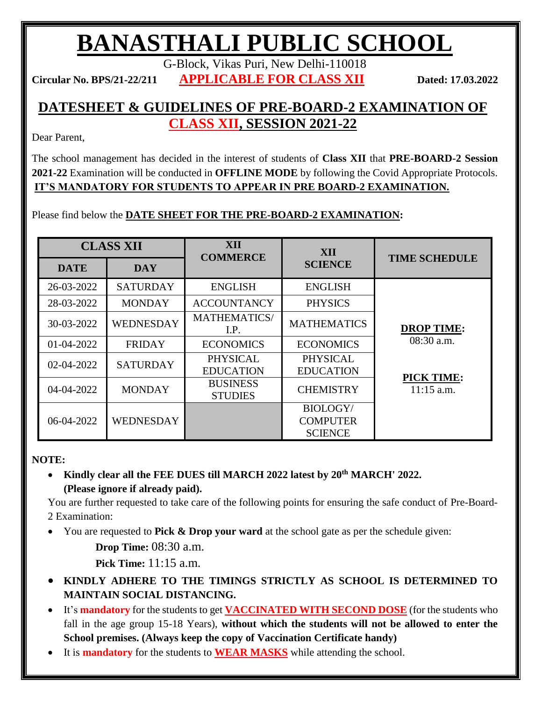## **BANASTHALI PUBLIC SCHOOL**

G-Block, Vikas Puri, New Delhi-110018

**Circular No. BPS/21-22/211 APPLICABLE FOR CLASS XII Dated: 17.03.2022**

## **DATESHEET & GUIDELINES OF PRE-BOARD-2 EXAMINATION OF CLASS XII, SESSION 2021-22**

Dear Parent,

The school management has decided in the interest of students of **Class XII** that **PRE-BOARD-2 Session 2021-22** Examination will be conducted in **OFFLINE MODE** by following the Covid Appropriate Protocols. **IT'S MANDATORY FOR STUDENTS TO APPEAR IN PRE BOARD-2 EXAMINATION.**

## Please find below the **DATE SHEET FOR THE PRE-BOARD-2 EXAMINATION:**

| <b>CLASS XII</b> |                  | XII<br><b>COMMERCE</b>              | XII                                                  |                                   |
|------------------|------------------|-------------------------------------|------------------------------------------------------|-----------------------------------|
| <b>DATE</b>      | <b>DAY</b>       |                                     | <b>SCIENCE</b>                                       | <b>TIME SCHEDULE</b>              |
| 26-03-2022       | <b>SATURDAY</b>  | <b>ENGLISH</b>                      | <b>ENGLISH</b>                                       |                                   |
| 28-03-2022       | <b>MONDAY</b>    | <b>ACCOUNTANCY</b>                  | <b>PHYSICS</b>                                       |                                   |
| 30-03-2022       | <b>WEDNESDAY</b> | MATHEMATICS/<br>I.P.                | <b>MATHEMATICS</b>                                   | <b>DROP TIME:</b>                 |
| 01-04-2022       | <b>FRIDAY</b>    | <b>ECONOMICS</b>                    | <b>ECONOMICS</b>                                     | 08:30 a.m.                        |
| 02-04-2022       | <b>SATURDAY</b>  | <b>PHYSICAL</b><br><b>EDUCATION</b> | <b>PHYSICAL</b><br><b>EDUCATION</b>                  | <b>PICK TIME:</b><br>$11:15$ a.m. |
| 04-04-2022       | <b>MONDAY</b>    | <b>BUSINESS</b><br><b>STUDIES</b>   | <b>CHEMISTRY</b>                                     |                                   |
| 06-04-2022       | <b>WEDNESDAY</b> |                                     | <b>BIOLOGY/</b><br><b>COMPUTER</b><br><b>SCIENCE</b> |                                   |

## **NOTE:**

 **Kindly clear all the FEE DUES till MARCH 2022 latest by 20th MARCH' 2022. (Please ignore if already paid).**

You are further requested to take care of the following points for ensuring the safe conduct of Pre-Board-2 Examination:

You are requested to **Pick & Drop your ward** at the school gate as per the schedule given:

**Drop Time: 08:30 a.m.** 

**Pick Time:** 11:15 a.m.

- **KINDLY ADHERE TO THE TIMINGS STRICTLY AS SCHOOL IS DETERMINED TO MAINTAIN SOCIAL DISTANCING.**
- It's **mandatory** for the students to get **VACCINATED WITH SECOND DOSE** (for the students who fall in the age group 15-18 Years), **without which the students will not be allowed to enter the School premises. (Always keep the copy of Vaccination Certificate handy)**
- It is **mandatory** for the students to **WEAR MASKS** while attending the school.